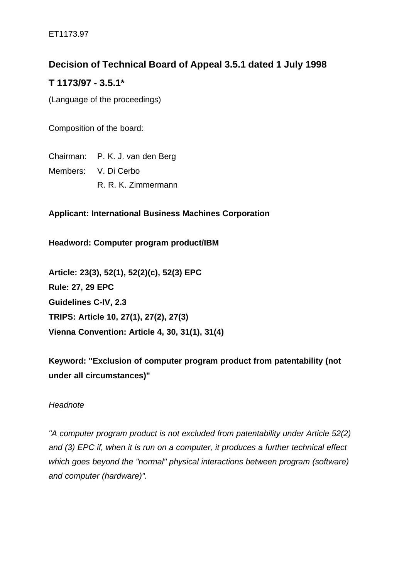# **Decision of Technical Board of Appeal 3.5.1 dated 1 July 1998**

# **T 1173/97 - 3.5.1\***

(Language of the proceedings)

Composition of the board:

Chairman: P. K. J. van den Berg Members: V. Di Cerbo R. R. K. Zimmermann

**Applicant: International Business Machines Corporation**

**Headword: Computer program product/IBM**

**Article: 23(3), 52(1), 52(2)(c), 52(3) EPC Rule: 27, 29 EPC Guidelines C-IV, 2.3 TRIPS: Article 10, 27(1), 27(2), 27(3) Vienna Convention: Article 4, 30, 31(1), 31(4)**

**Keyword: "Exclusion of computer program product from patentability (not under all circumstances)"**

## *Headnote*

*"A computer program product is not excluded from patentability under Article 52(2) and (3) EPC if, when it is run on a computer, it produces a further technical effect which goes beyond the "normal" physical interactions between program (software) and computer (hardware)".*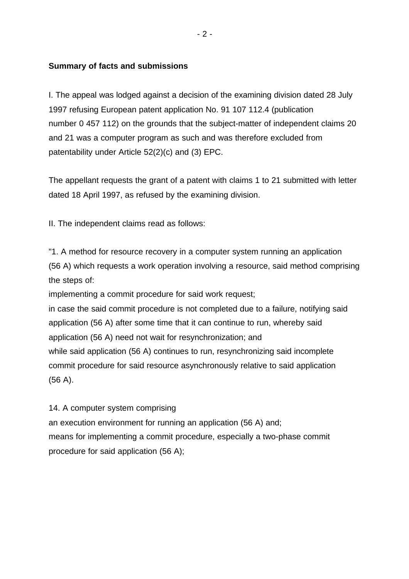#### **Summary of facts and submissions**

I. The appeal was lodged against a decision of the examining division dated 28 July 1997 refusing European patent application No. 91 107 112.4 (publication number 0 457 112) on the grounds that the subject-matter of independent claims 20 and 21 was a computer program as such and was therefore excluded from patentability under Article 52(2)(c) and (3) EPC.

The appellant requests the grant of a patent with claims 1 to 21 submitted with letter dated 18 April 1997, as refused by the examining division.

II. The independent claims read as follows:

"1. A method for resource recovery in a computer system running an application (56 A) which requests a work operation involving a resource, said method comprising the steps of:

implementing a commit procedure for said work request;

in case the said commit procedure is not completed due to a failure, notifying said application (56 A) after some time that it can continue to run, whereby said application (56 A) need not wait for resynchronization; and while said application (56 A) continues to run, resynchronizing said incomplete commit procedure for said resource asynchronously relative to said application (56 A).

14. A computer system comprising

an execution environment for running an application (56 A) and; means for implementing a commit procedure, especially a two-phase commit procedure for said application (56 A);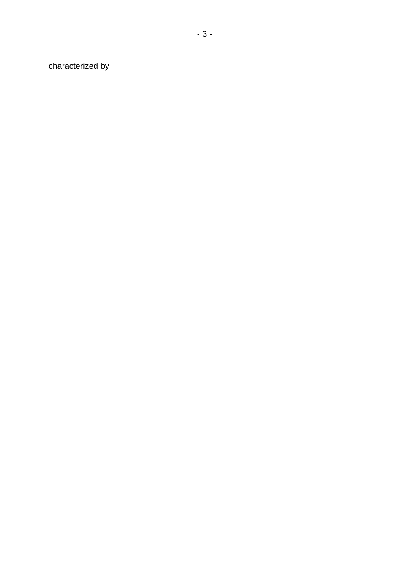characterized by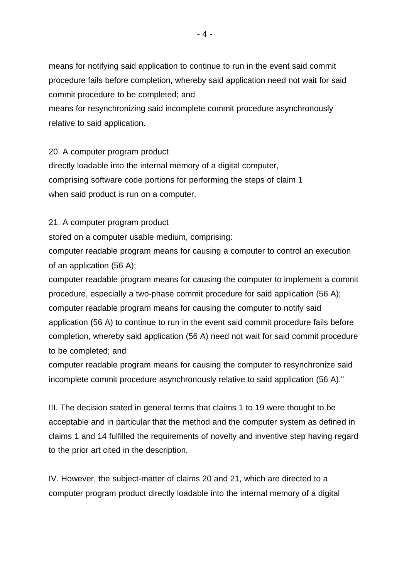means for notifying said application to continue to run in the event said commit procedure fails before completion, whereby said application need not wait for said commit procedure to be completed; and

means for resynchronizing said incomplete commit procedure asynchronously relative to said application.

20. A computer program product directly loadable into the internal memory of a digital computer, comprising software code portions for performing the steps of claim 1 when said product is run on a computer.

21. A computer program product

stored on a computer usable medium, comprising:

computer readable program means for causing a computer to control an execution of an application (56 A);

computer readable program means for causing the computer to implement a commit procedure, especially a two-phase commit procedure for said application (56 A); computer readable program means for causing the computer to notify said application (56 A) to continue to run in the event said commit procedure fails before completion, whereby said application (56 A) need not wait for said commit procedure to be completed; and

computer readable program means for causing the computer to resynchronize said incomplete commit procedure asynchronously relative to said application (56 A)."

III. The decision stated in general terms that claims 1 to 19 were thought to be acceptable and in particular that the method and the computer system as defined in claims 1 and 14 fulfilled the requirements of novelty and inventive step having regard to the prior art cited in the description.

IV. However, the subject-matter of claims 20 and 21, which are directed to a computer program product directly loadable into the internal memory of a digital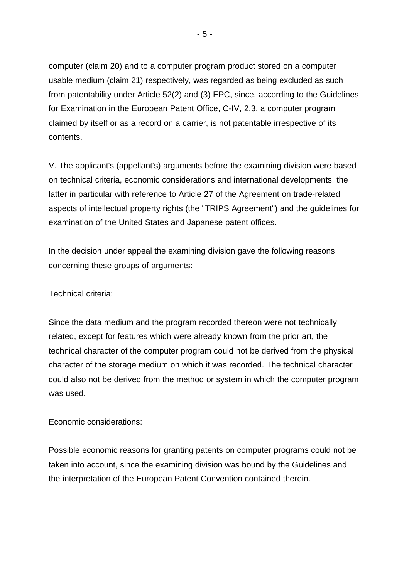computer (claim 20) and to a computer program product stored on a computer usable medium (claim 21) respectively, was regarded as being excluded as such from patentability under Article 52(2) and (3) EPC, since, according to the Guidelines for Examination in the European Patent Office, C-IV, 2.3, a computer program claimed by itself or as a record on a carrier, is not patentable irrespective of its contents.

V. The applicant's (appellant's) arguments before the examining division were based on technical criteria, economic considerations and international developments, the latter in particular with reference to Article 27 of the Agreement on trade-related aspects of intellectual property rights (the "TRIPS Agreement") and the guidelines for examination of the United States and Japanese patent offices.

In the decision under appeal the examining division gave the following reasons concerning these groups of arguments:

Technical criteria:

Since the data medium and the program recorded thereon were not technically related, except for features which were already known from the prior art, the technical character of the computer program could not be derived from the physical character of the storage medium on which it was recorded. The technical character could also not be derived from the method or system in which the computer program was used.

Economic considerations:

Possible economic reasons for granting patents on computer programs could not be taken into account, since the examining division was bound by the Guidelines and the interpretation of the European Patent Convention contained therein.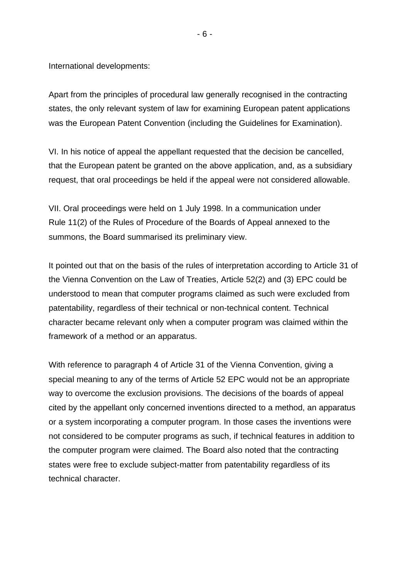International developments:

Apart from the principles of procedural law generally recognised in the contracting states, the only relevant system of law for examining European patent applications was the European Patent Convention (including the Guidelines for Examination).

VI. In his notice of appeal the appellant requested that the decision be cancelled, that the European patent be granted on the above application, and, as a subsidiary request, that oral proceedings be held if the appeal were not considered allowable.

VII. Oral proceedings were held on 1 July 1998. In a communication under Rule 11(2) of the Rules of Procedure of the Boards of Appeal annexed to the summons, the Board summarised its preliminary view.

It pointed out that on the basis of the rules of interpretation according to Article 31 of the Vienna Convention on the Law of Treaties, Article 52(2) and (3) EPC could be understood to mean that computer programs claimed as such were excluded from patentability, regardless of their technical or non-technical content. Technical character became relevant only when a computer program was claimed within the framework of a method or an apparatus.

With reference to paragraph 4 of Article 31 of the Vienna Convention, giving a special meaning to any of the terms of Article 52 EPC would not be an appropriate way to overcome the exclusion provisions. The decisions of the boards of appeal cited by the appellant only concerned inventions directed to a method, an apparatus or a system incorporating a computer program. In those cases the inventions were not considered to be computer programs as such, if technical features in addition to the computer program were claimed. The Board also noted that the contracting states were free to exclude subject-matter from patentability regardless of its technical character.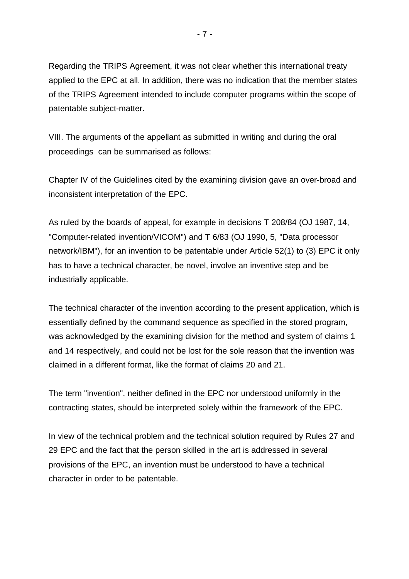Regarding the TRIPS Agreement, it was not clear whether this international treaty applied to the EPC at all. In addition, there was no indication that the member states of the TRIPS Agreement intended to include computer programs within the scope of patentable subject-matter.

VIII. The arguments of the appellant as submitted in writing and during the oral proceedings can be summarised as follows:

Chapter IV of the Guidelines cited by the examining division gave an over-broad and inconsistent interpretation of the EPC.

As ruled by the boards of appeal, for example in decisions T 208/84 (OJ 1987, 14, "Computer-related invention/VICOM") and T 6/83 (OJ 1990, 5, "Data processor network/IBM"), for an invention to be patentable under Article 52(1) to (3) EPC it only has to have a technical character, be novel, involve an inventive step and be industrially applicable.

The technical character of the invention according to the present application, which is essentially defined by the command sequence as specified in the stored program, was acknowledged by the examining division for the method and system of claims 1 and 14 respectively, and could not be lost for the sole reason that the invention was claimed in a different format, like the format of claims 20 and 21.

The term "invention", neither defined in the EPC nor understood uniformly in the contracting states, should be interpreted solely within the framework of the EPC.

In view of the technical problem and the technical solution required by Rules 27 and 29 EPC and the fact that the person skilled in the art is addressed in several provisions of the EPC, an invention must be understood to have a technical character in order to be patentable.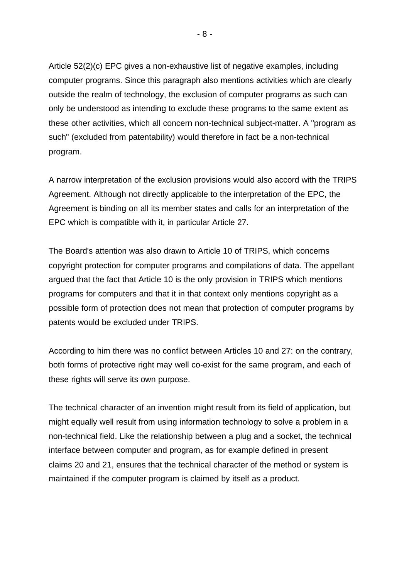Article 52(2)(c) EPC gives a non-exhaustive list of negative examples, including computer programs. Since this paragraph also mentions activities which are clearly outside the realm of technology, the exclusion of computer programs as such can only be understood as intending to exclude these programs to the same extent as these other activities, which all concern non-technical subject-matter. A "program as such" (excluded from patentability) would therefore in fact be a non-technical program.

A narrow interpretation of the exclusion provisions would also accord with the TRIPS Agreement. Although not directly applicable to the interpretation of the EPC, the Agreement is binding on all its member states and calls for an interpretation of the EPC which is compatible with it, in particular Article 27.

The Board's attention was also drawn to Article 10 of TRIPS, which concerns copyright protection for computer programs and compilations of data. The appellant argued that the fact that Article 10 is the only provision in TRIPS which mentions programs for computers and that it in that context only mentions copyright as a possible form of protection does not mean that protection of computer programs by patents would be excluded under TRIPS.

According to him there was no conflict between Articles 10 and 27: on the contrary, both forms of protective right may well co-exist for the same program, and each of these rights will serve its own purpose.

The technical character of an invention might result from its field of application, but might equally well result from using information technology to solve a problem in a non-technical field. Like the relationship between a plug and a socket, the technical interface between computer and program, as for example defined in present claims 20 and 21, ensures that the technical character of the method or system is maintained if the computer program is claimed by itself as a product.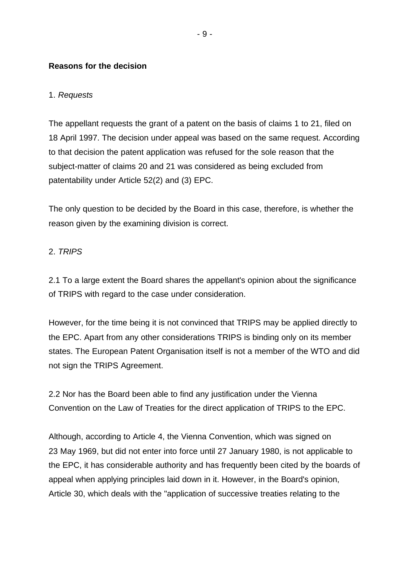### **Reasons for the decision**

### 1. *Requests*

The appellant requests the grant of a patent on the basis of claims 1 to 21, filed on 18 April 1997. The decision under appeal was based on the same request. According to that decision the patent application was refused for the sole reason that the subject-matter of claims 20 and 21 was considered as being excluded from patentability under Article 52(2) and (3) EPC.

The only question to be decided by the Board in this case, therefore, is whether the reason given by the examining division is correct.

### 2. *TRIPS*

2.1 To a large extent the Board shares the appellant's opinion about the significance of TRIPS with regard to the case under consideration.

However, for the time being it is not convinced that TRIPS may be applied directly to the EPC. Apart from any other considerations TRIPS is binding only on its member states. The European Patent Organisation itself is not a member of the WTO and did not sign the TRIPS Agreement.

2.2 Nor has the Board been able to find any justification under the Vienna Convention on the Law of Treaties for the direct application of TRIPS to the EPC.

Although, according to Article 4, the Vienna Convention, which was signed on 23 May 1969, but did not enter into force until 27 January 1980, is not applicable to the EPC, it has considerable authority and has frequently been cited by the boards of appeal when applying principles laid down in it. However, in the Board's opinion, Article 30, which deals with the "application of successive treaties relating to the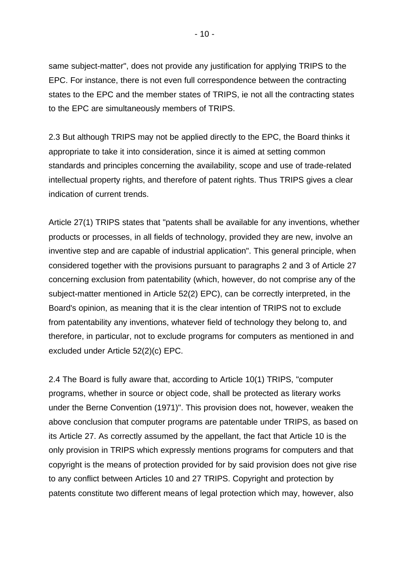same subject-matter", does not provide any justification for applying TRIPS to the EPC. For instance, there is not even full correspondence between the contracting states to the EPC and the member states of TRIPS, ie not all the contracting states to the EPC are simultaneously members of TRIPS.

2.3 But although TRIPS may not be applied directly to the EPC, the Board thinks it appropriate to take it into consideration, since it is aimed at setting common standards and principles concerning the availability, scope and use of trade-related intellectual property rights, and therefore of patent rights. Thus TRIPS gives a clear indication of current trends.

Article 27(1) TRIPS states that "patents shall be available for any inventions, whether products or processes, in all fields of technology, provided they are new, involve an inventive step and are capable of industrial application". This general principle, when considered together with the provisions pursuant to paragraphs 2 and 3 of Article 27 concerning exclusion from patentability (which, however, do not comprise any of the subject-matter mentioned in Article 52(2) EPC), can be correctly interpreted, in the Board's opinion, as meaning that it is the clear intention of TRIPS not to exclude from patentability any inventions, whatever field of technology they belong to, and therefore, in particular, not to exclude programs for computers as mentioned in and excluded under Article 52(2)(c) EPC.

2.4 The Board is fully aware that, according to Article 10(1) TRIPS, "computer programs, whether in source or object code, shall be protected as literary works under the Berne Convention (1971)". This provision does not, however, weaken the above conclusion that computer programs are patentable under TRIPS, as based on its Article 27. As correctly assumed by the appellant, the fact that Article 10 is the only provision in TRIPS which expressly mentions programs for computers and that copyright is the means of protection provided for by said provision does not give rise to any conflict between Articles 10 and 27 TRIPS. Copyright and protection by patents constitute two different means of legal protection which may, however, also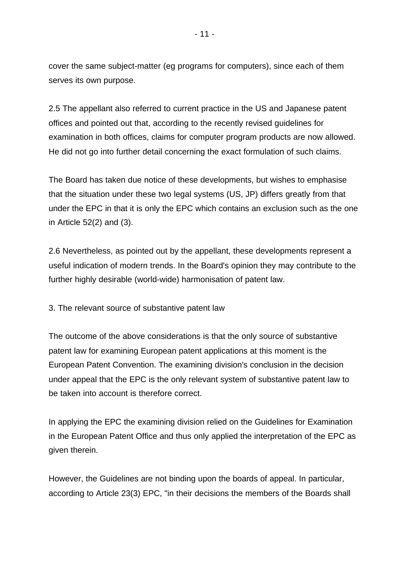cover the same subject-matter (eg programs for computers), since each of them serves its own purpose.

2.5 The appellant also referred to current practice in the US and Japanese patent offices and pointed out that, according to the recently revised guidelines for examination in both offices, claims for computer program products are now allowed. He did not go into further detail concerning the exact formulation of such claims.

The Board has taken due notice of these developments, but wishes to emphasise that the situation under these two legal systems (US, JP) differs greatly from that under the EPC in that it is only the EPC which contains an exclusion such as the one in Article 52(2) and (3).

2.6 Nevertheless, as pointed out by the appellant, these developments represent a useful indication of modern trends. In the Board's opinion they may contribute to the further highly desirable (world-wide) harmonisation of patent law.

3. The relevant source of substantive patent law

The outcome of the above considerations is that the only source of substantive patent law for examining European patent applications at this moment is the European Patent Convention. The examining division's conclusion in the decision under appeal that the EPC is the only relevant system of substantive patent law to be taken into account is therefore correct.

In applying the EPC the examining division relied on the Guidelines for Examination in the European Patent Office and thus only applied the interpretation of the EPC as given therein.

However, the Guidelines are not binding upon the boards of appeal. In particular, according to Article 23(3) EPC, "in their decisions the members of the Boards shall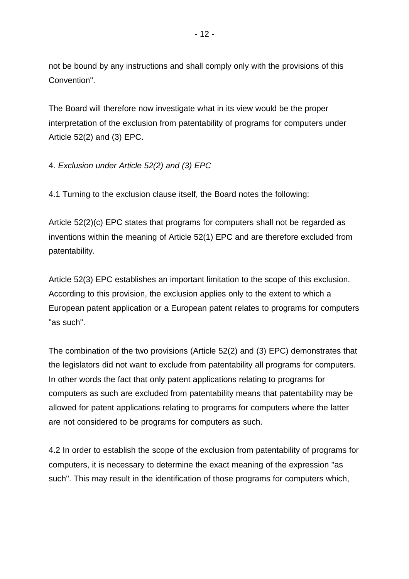not be bound by any instructions and shall comply only with the provisions of this Convention".

The Board will therefore now investigate what in its view would be the proper interpretation of the exclusion from patentability of programs for computers under Article 52(2) and (3) EPC.

# 4. *Exclusion under Article 52(2) and (3) EPC*

4.1 Turning to the exclusion clause itself, the Board notes the following:

Article 52(2)(c) EPC states that programs for computers shall not be regarded as inventions within the meaning of Article 52(1) EPC and are therefore excluded from patentability.

Article 52(3) EPC establishes an important limitation to the scope of this exclusion. According to this provision, the exclusion applies only to the extent to which a European patent application or a European patent relates to programs for computers "as such".

The combination of the two provisions (Article 52(2) and (3) EPC) demonstrates that the legislators did not want to exclude from patentability all programs for computers. In other words the fact that only patent applications relating to programs for computers as such are excluded from patentability means that patentability may be allowed for patent applications relating to programs for computers where the latter are not considered to be programs for computers as such.

4.2 In order to establish the scope of the exclusion from patentability of programs for computers, it is necessary to determine the exact meaning of the expression "as such". This may result in the identification of those programs for computers which,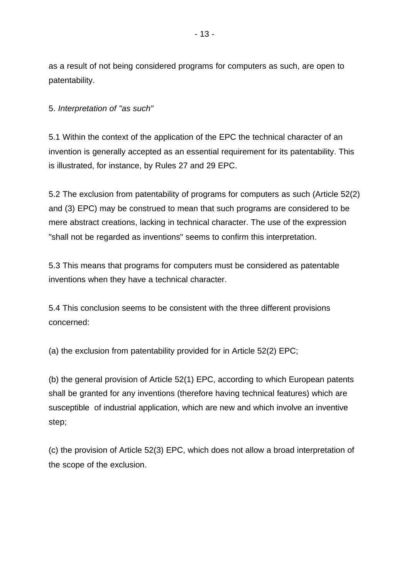as a result of not being considered programs for computers as such, are open to patentability.

5. *Interpretation of "as such"*

5.1 Within the context of the application of the EPC the technical character of an invention is generally accepted as an essential requirement for its patentability. This is illustrated, for instance, by Rules 27 and 29 EPC.

5.2 The exclusion from patentability of programs for computers as such (Article 52(2) and (3) EPC) may be construed to mean that such programs are considered to be mere abstract creations, lacking in technical character. The use of the expression "shall not be regarded as inventions" seems to confirm this interpretation.

5.3 This means that programs for computers must be considered as patentable inventions when they have a technical character.

5.4 This conclusion seems to be consistent with the three different provisions concerned:

(a) the exclusion from patentability provided for in Article 52(2) EPC;

(b) the general provision of Article 52(1) EPC, according to which European patents shall be granted for any inventions (therefore having technical features) which are susceptible of industrial application, which are new and which involve an inventive step;

(c) the provision of Article 52(3) EPC, which does not allow a broad interpretation of the scope of the exclusion.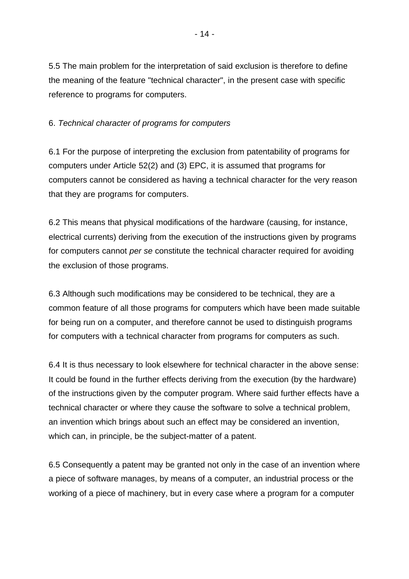5.5 The main problem for the interpretation of said exclusion is therefore to define the meaning of the feature "technical character", in the present case with specific reference to programs for computers.

## 6. *Technical character of programs for computers*

6.1 For the purpose of interpreting the exclusion from patentability of programs for computers under Article 52(2) and (3) EPC, it is assumed that programs for computers cannot be considered as having a technical character for the very reason that they are programs for computers.

6.2 This means that physical modifications of the hardware (causing, for instance, electrical currents) deriving from the execution of the instructions given by programs for computers cannot *per se* constitute the technical character required for avoiding the exclusion of those programs.

6.3 Although such modifications may be considered to be technical, they are a common feature of all those programs for computers which have been made suitable for being run on a computer, and therefore cannot be used to distinguish programs for computers with a technical character from programs for computers as such.

6.4 It is thus necessary to look elsewhere for technical character in the above sense: It could be found in the further effects deriving from the execution (by the hardware) of the instructions given by the computer program. Where said further effects have a technical character or where they cause the software to solve a technical problem, an invention which brings about such an effect may be considered an invention, which can, in principle, be the subject-matter of a patent.

6.5 Consequently a patent may be granted not only in the case of an invention where a piece of software manages, by means of a computer, an industrial process or the working of a piece of machinery, but in every case where a program for a computer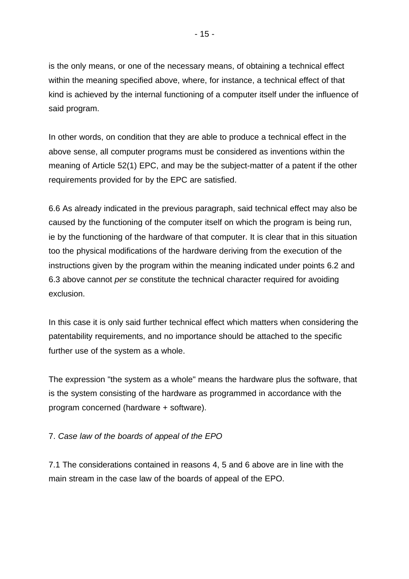is the only means, or one of the necessary means, of obtaining a technical effect within the meaning specified above, where, for instance, a technical effect of that kind is achieved by the internal functioning of a computer itself under the influence of said program.

In other words, on condition that they are able to produce a technical effect in the above sense, all computer programs must be considered as inventions within the meaning of Article 52(1) EPC, and may be the subject-matter of a patent if the other requirements provided for by the EPC are satisfied.

6.6 As already indicated in the previous paragraph, said technical effect may also be caused by the functioning of the computer itself on which the program is being run, ie by the functioning of the hardware of that computer. It is clear that in this situation too the physical modifications of the hardware deriving from the execution of the instructions given by the program within the meaning indicated under points 6.2 and 6.3 above cannot *per se* constitute the technical character required for avoiding exclusion.

In this case it is only said further technical effect which matters when considering the patentability requirements, and no importance should be attached to the specific further use of the system as a whole.

The expression "the system as a whole" means the hardware plus the software, that is the system consisting of the hardware as programmed in accordance with the program concerned (hardware + software).

## 7. *Case law of the boards of appeal of the EPO*

7.1 The considerations contained in reasons 4, 5 and 6 above are in line with the main stream in the case law of the boards of appeal of the EPO.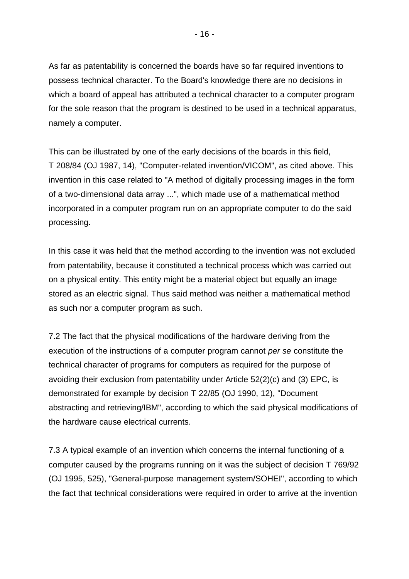As far as patentability is concerned the boards have so far required inventions to possess technical character. To the Board's knowledge there are no decisions in which a board of appeal has attributed a technical character to a computer program for the sole reason that the program is destined to be used in a technical apparatus, namely a computer.

This can be illustrated by one of the early decisions of the boards in this field, T 208/84 (OJ 1987, 14), "Computer-related invention/VICOM", as cited above. This invention in this case related to "A method of digitally processing images in the form of a two-dimensional data array ...", which made use of a mathematical method incorporated in a computer program run on an appropriate computer to do the said processing.

In this case it was held that the method according to the invention was not excluded from patentability, because it constituted a technical process which was carried out on a physical entity. This entity might be a material object but equally an image stored as an electric signal. Thus said method was neither a mathematical method as such nor a computer program as such.

7.2 The fact that the physical modifications of the hardware deriving from the execution of the instructions of a computer program cannot *per se* constitute the technical character of programs for computers as required for the purpose of avoiding their exclusion from patentability under Article 52(2)(c) and (3) EPC, is demonstrated for example by decision T 22/85 (OJ 1990, 12), "Document abstracting and retrieving/IBM", according to which the said physical modifications of the hardware cause electrical currents.

7.3 A typical example of an invention which concerns the internal functioning of a computer caused by the programs running on it was the subject of decision T 769/92 (OJ 1995, 525), "General-purpose management system/SOHEI", according to which the fact that technical considerations were required in order to arrive at the invention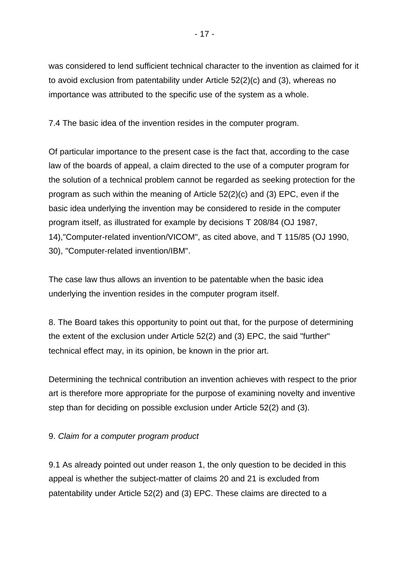was considered to lend sufficient technical character to the invention as claimed for it to avoid exclusion from patentability under Article 52(2)(c) and (3), whereas no importance was attributed to the specific use of the system as a whole.

7.4 The basic idea of the invention resides in the computer program.

Of particular importance to the present case is the fact that, according to the case law of the boards of appeal, a claim directed to the use of a computer program for the solution of a technical problem cannot be regarded as seeking protection for the program as such within the meaning of Article 52(2)(c) and (3) EPC, even if the basic idea underlying the invention may be considered to reside in the computer program itself, as illustrated for example by decisions T 208/84 (OJ 1987, 14),"Computer-related invention/VICOM", as cited above, and T 115/85 (OJ 1990, 30), "Computer-related invention/IBM".

The case law thus allows an invention to be patentable when the basic idea underlying the invention resides in the computer program itself.

8. The Board takes this opportunity to point out that, for the purpose of determining the extent of the exclusion under Article 52(2) and (3) EPC, the said "further" technical effect may, in its opinion, be known in the prior art.

Determining the technical contribution an invention achieves with respect to the prior art is therefore more appropriate for the purpose of examining novelty and inventive step than for deciding on possible exclusion under Article 52(2) and (3).

## 9. *Claim for a computer program product*

9.1 As already pointed out under reason 1, the only question to be decided in this appeal is whether the subject-matter of claims 20 and 21 is excluded from patentability under Article 52(2) and (3) EPC. These claims are directed to a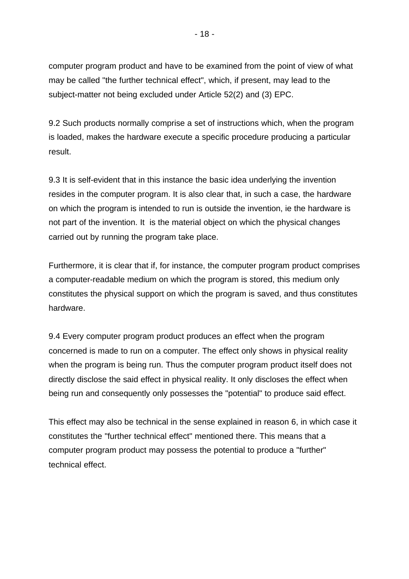computer program product and have to be examined from the point of view of what may be called "the further technical effect", which, if present, may lead to the subject-matter not being excluded under Article 52(2) and (3) EPC.

9.2 Such products normally comprise a set of instructions which, when the program is loaded, makes the hardware execute a specific procedure producing a particular result.

9.3 It is self-evident that in this instance the basic idea underlying the invention resides in the computer program. It is also clear that, in such a case, the hardware on which the program is intended to run is outside the invention, ie the hardware is not part of the invention. It is the material object on which the physical changes carried out by running the program take place.

Furthermore, it is clear that if, for instance, the computer program product comprises a computer-readable medium on which the program is stored, this medium only constitutes the physical support on which the program is saved, and thus constitutes hardware.

9.4 Every computer program product produces an effect when the program concerned is made to run on a computer. The effect only shows in physical reality when the program is being run. Thus the computer program product itself does not directly disclose the said effect in physical reality. It only discloses the effect when being run and consequently only possesses the "potential" to produce said effect.

This effect may also be technical in the sense explained in reason 6, in which case it constitutes the "further technical effect" mentioned there. This means that a computer program product may possess the potential to produce a "further" technical effect.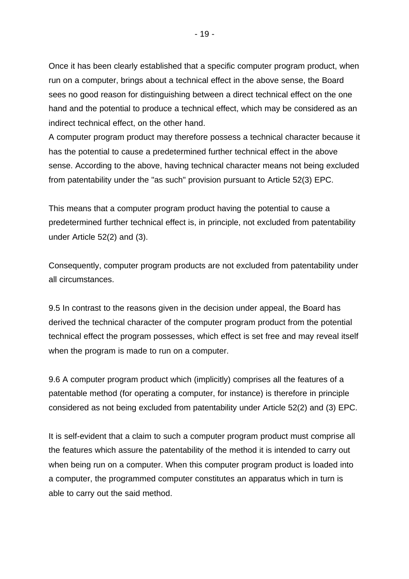Once it has been clearly established that a specific computer program product, when run on a computer, brings about a technical effect in the above sense, the Board sees no good reason for distinguishing between a direct technical effect on the one hand and the potential to produce a technical effect, which may be considered as an indirect technical effect, on the other hand.

A computer program product may therefore possess a technical character because it has the potential to cause a predetermined further technical effect in the above sense. According to the above, having technical character means not being excluded from patentability under the "as such" provision pursuant to Article 52(3) EPC.

This means that a computer program product having the potential to cause a predetermined further technical effect is, in principle, not excluded from patentability under Article 52(2) and (3).

Consequently, computer program products are not excluded from patentability under all circumstances.

9.5 In contrast to the reasons given in the decision under appeal, the Board has derived the technical character of the computer program product from the potential technical effect the program possesses, which effect is set free and may reveal itself when the program is made to run on a computer.

9.6 A computer program product which (implicitly) comprises all the features of a patentable method (for operating a computer, for instance) is therefore in principle considered as not being excluded from patentability under Article 52(2) and (3) EPC.

It is self-evident that a claim to such a computer program product must comprise all the features which assure the patentability of the method it is intended to carry out when being run on a computer. When this computer program product is loaded into a computer, the programmed computer constitutes an apparatus which in turn is able to carry out the said method.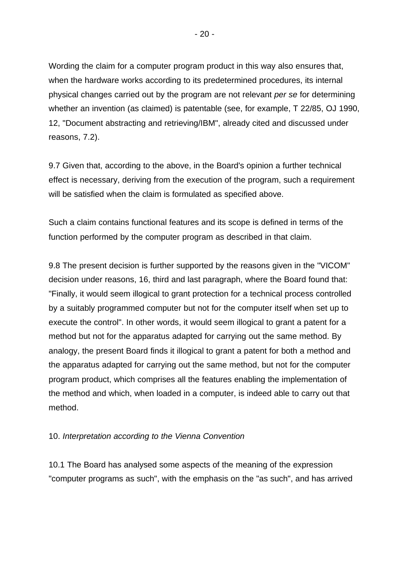Wording the claim for a computer program product in this way also ensures that, when the hardware works according to its predetermined procedures, its internal physical changes carried out by the program are not relevant *per se* for determining whether an invention (as claimed) is patentable (see, for example, T 22/85, OJ 1990, 12, "Document abstracting and retrieving/IBM", already cited and discussed under reasons, 7.2).

9.7 Given that, according to the above, in the Board's opinion a further technical effect is necessary, deriving from the execution of the program, such a requirement will be satisfied when the claim is formulated as specified above.

Such a claim contains functional features and its scope is defined in terms of the function performed by the computer program as described in that claim.

9.8 The present decision is further supported by the reasons given in the "VICOM" decision under reasons, 16, third and last paragraph, where the Board found that: "Finally, it would seem illogical to grant protection for a technical process controlled by a suitably programmed computer but not for the computer itself when set up to execute the control". In other words, it would seem illogical to grant a patent for a method but not for the apparatus adapted for carrying out the same method. By analogy, the present Board finds it illogical to grant a patent for both a method and the apparatus adapted for carrying out the same method, but not for the computer program product, which comprises all the features enabling the implementation of the method and which, when loaded in a computer, is indeed able to carry out that method.

#### 10. *Interpretation according to the Vienna Convention*

10.1 The Board has analysed some aspects of the meaning of the expression "computer programs as such", with the emphasis on the "as such", and has arrived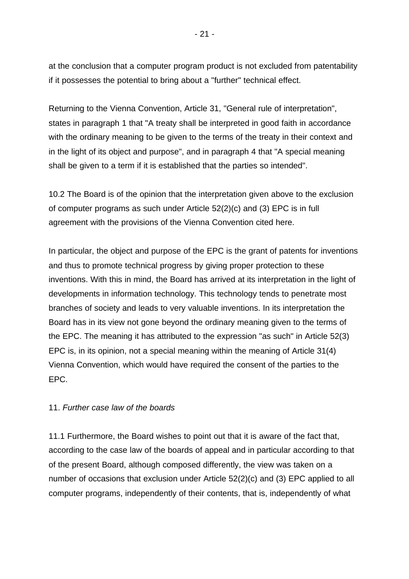at the conclusion that a computer program product is not excluded from patentability

if it possesses the potential to bring about a "further" technical effect.

Returning to the Vienna Convention, Article 31, "General rule of interpretation", states in paragraph 1 that "A treaty shall be interpreted in good faith in accordance with the ordinary meaning to be given to the terms of the treaty in their context and in the light of its object and purpose", and in paragraph 4 that "A special meaning shall be given to a term if it is established that the parties so intended".

10.2 The Board is of the opinion that the interpretation given above to the exclusion of computer programs as such under Article 52(2)(c) and (3) EPC is in full agreement with the provisions of the Vienna Convention cited here.

In particular, the object and purpose of the EPC is the grant of patents for inventions and thus to promote technical progress by giving proper protection to these inventions. With this in mind, the Board has arrived at its interpretation in the light of developments in information technology. This technology tends to penetrate most branches of society and leads to very valuable inventions. In its interpretation the Board has in its view not gone beyond the ordinary meaning given to the terms of the EPC. The meaning it has attributed to the expression "as such" in Article 52(3) EPC is, in its opinion, not a special meaning within the meaning of Article 31(4) Vienna Convention, which would have required the consent of the parties to the EPC.

#### 11. *Further case law of the boards*

11.1 Furthermore, the Board wishes to point out that it is aware of the fact that, according to the case law of the boards of appeal and in particular according to that of the present Board, although composed differently, the view was taken on a number of occasions that exclusion under Article 52(2)(c) and (3) EPC applied to all computer programs, independently of their contents, that is, independently of what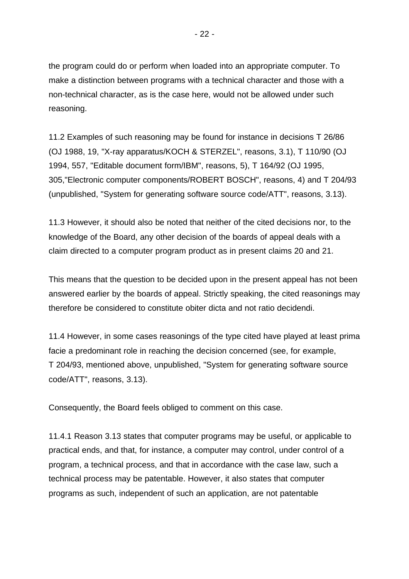the program could do or perform when loaded into an appropriate computer. To make a distinction between programs with a technical character and those with a non-technical character, as is the case here, would not be allowed under such reasoning.

11.2 Examples of such reasoning may be found for instance in decisions T 26/86 (OJ 1988, 19, "X-ray apparatus/KOCH & STERZEL", reasons, 3.1), T 110/90 (OJ 1994, 557, "Editable document form/IBM", reasons, 5), T 164/92 (OJ 1995, 305,"Electronic computer components/ROBERT BOSCH", reasons, 4) and T 204/93 (unpublished, "System for generating software source code/ATT", reasons, 3.13).

11.3 However, it should also be noted that neither of the cited decisions nor, to the knowledge of the Board, any other decision of the boards of appeal deals with a claim directed to a computer program product as in present claims 20 and 21.

This means that the question to be decided upon in the present appeal has not been answered earlier by the boards of appeal. Strictly speaking, the cited reasonings may therefore be considered to constitute obiter dicta and not ratio decidendi.

11.4 However, in some cases reasonings of the type cited have played at least prima facie a predominant role in reaching the decision concerned (see, for example, T 204/93, mentioned above, unpublished, "System for generating software source code/ATT", reasons, 3.13).

Consequently, the Board feels obliged to comment on this case.

11.4.1 Reason 3.13 states that computer programs may be useful, or applicable to practical ends, and that, for instance, a computer may control, under control of a program, a technical process, and that in accordance with the case law, such a technical process may be patentable. However, it also states that computer programs as such, independent of such an application, are not patentable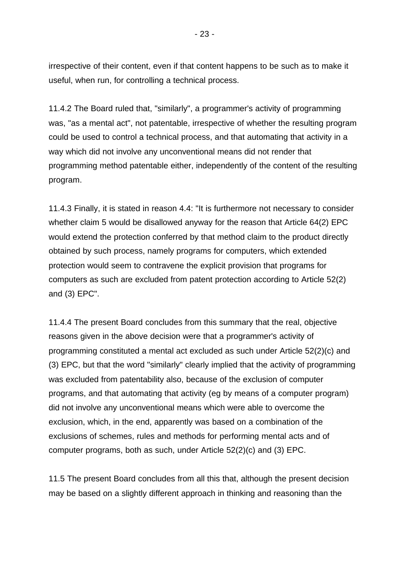irrespective of their content, even if that content happens to be such as to make it useful, when run, for controlling a technical process.

11.4.2 The Board ruled that, "similarly", a programmer's activity of programming was, "as a mental act", not patentable, irrespective of whether the resulting program could be used to control a technical process, and that automating that activity in a way which did not involve any unconventional means did not render that programming method patentable either, independently of the content of the resulting program.

11.4.3 Finally, it is stated in reason 4.4: "It is furthermore not necessary to consider whether claim 5 would be disallowed anyway for the reason that Article 64(2) EPC would extend the protection conferred by that method claim to the product directly obtained by such process, namely programs for computers, which extended protection would seem to contravene the explicit provision that programs for computers as such are excluded from patent protection according to Article 52(2) and (3) EPC".

11.4.4 The present Board concludes from this summary that the real, objective reasons given in the above decision were that a programmer's activity of programming constituted a mental act excluded as such under Article 52(2)(c) and (3) EPC, but that the word "similarly" clearly implied that the activity of programming was excluded from patentability also, because of the exclusion of computer programs, and that automating that activity (eg by means of a computer program) did not involve any unconventional means which were able to overcome the exclusion, which, in the end, apparently was based on a combination of the exclusions of schemes, rules and methods for performing mental acts and of computer programs, both as such, under Article 52(2)(c) and (3) EPC.

11.5 The present Board concludes from all this that, although the present decision may be based on a slightly different approach in thinking and reasoning than the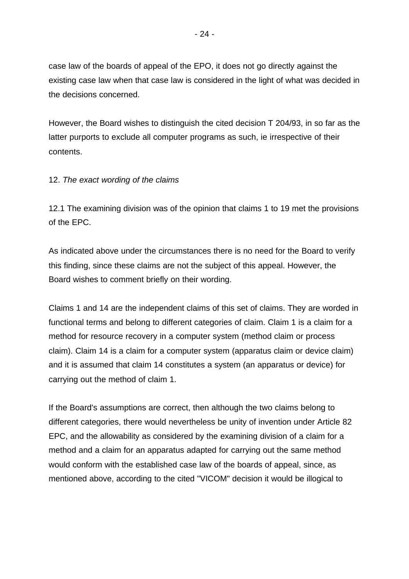case law of the boards of appeal of the EPO, it does not go directly against the existing case law when that case law is considered in the light of what was decided in the decisions concerned.

However, the Board wishes to distinguish the cited decision T 204/93, in so far as the latter purports to exclude all computer programs as such, ie irrespective of their contents.

### 12. *The exact wording of the claims*

12.1 The examining division was of the opinion that claims 1 to 19 met the provisions of the EPC.

As indicated above under the circumstances there is no need for the Board to verify this finding, since these claims are not the subject of this appeal. However, the Board wishes to comment briefly on their wording.

Claims 1 and 14 are the independent claims of this set of claims. They are worded in functional terms and belong to different categories of claim. Claim 1 is a claim for a method for resource recovery in a computer system (method claim or process claim). Claim 14 is a claim for a computer system (apparatus claim or device claim) and it is assumed that claim 14 constitutes a system (an apparatus or device) for carrying out the method of claim 1.

If the Board's assumptions are correct, then although the two claims belong to different categories, there would nevertheless be unity of invention under Article 82 EPC, and the allowability as considered by the examining division of a claim for a method and a claim for an apparatus adapted for carrying out the same method would conform with the established case law of the boards of appeal, since, as mentioned above, according to the cited "VICOM" decision it would be illogical to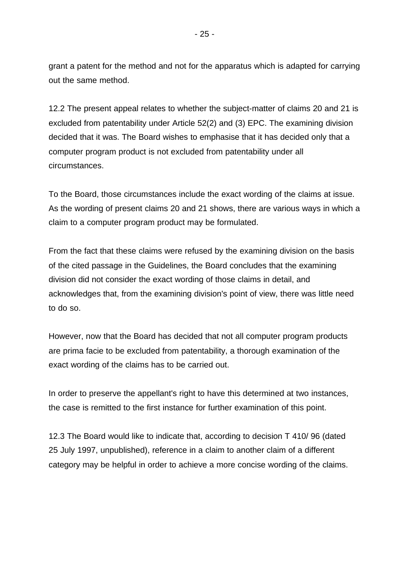grant a patent for the method and not for the apparatus which is adapted for carrying out the same method.

12.2 The present appeal relates to whether the subject-matter of claims 20 and 21 is excluded from patentability under Article 52(2) and (3) EPC. The examining division decided that it was. The Board wishes to emphasise that it has decided only that a computer program product is not excluded from patentability under all circumstances.

To the Board, those circumstances include the exact wording of the claims at issue. As the wording of present claims 20 and 21 shows, there are various ways in which a claim to a computer program product may be formulated.

From the fact that these claims were refused by the examining division on the basis of the cited passage in the Guidelines, the Board concludes that the examining division did not consider the exact wording of those claims in detail, and acknowledges that, from the examining division's point of view, there was little need to do so.

However, now that the Board has decided that not all computer program products are prima facie to be excluded from patentability, a thorough examination of the exact wording of the claims has to be carried out.

In order to preserve the appellant's right to have this determined at two instances, the case is remitted to the first instance for further examination of this point.

12.3 The Board would like to indicate that, according to decision T 410/ 96 (dated 25 July 1997, unpublished), reference in a claim to another claim of a different category may be helpful in order to achieve a more concise wording of the claims.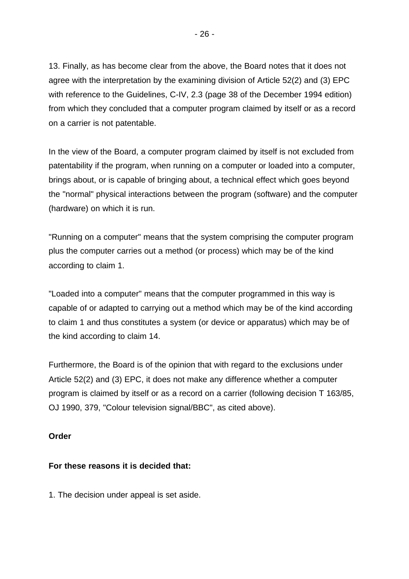13. Finally, as has become clear from the above, the Board notes that it does not agree with the interpretation by the examining division of Article 52(2) and (3) EPC with reference to the Guidelines, C-IV, 2.3 (page 38 of the December 1994 edition) from which they concluded that a computer program claimed by itself or as a record on a carrier is not patentable.

In the view of the Board, a computer program claimed by itself is not excluded from patentability if the program, when running on a computer or loaded into a computer, brings about, or is capable of bringing about, a technical effect which goes beyond the "normal" physical interactions between the program (software) and the computer (hardware) on which it is run.

"Running on a computer" means that the system comprising the computer program plus the computer carries out a method (or process) which may be of the kind according to claim 1.

"Loaded into a computer" means that the computer programmed in this way is capable of or adapted to carrying out a method which may be of the kind according to claim 1 and thus constitutes a system (or device or apparatus) which may be of the kind according to claim 14.

Furthermore, the Board is of the opinion that with regard to the exclusions under Article 52(2) and (3) EPC, it does not make any difference whether a computer program is claimed by itself or as a record on a carrier (following decision T 163/85, OJ 1990, 379, "Colour television signal/BBC", as cited above).

#### **Order**

# **For these reasons it is decided that:**

1. The decision under appeal is set aside.